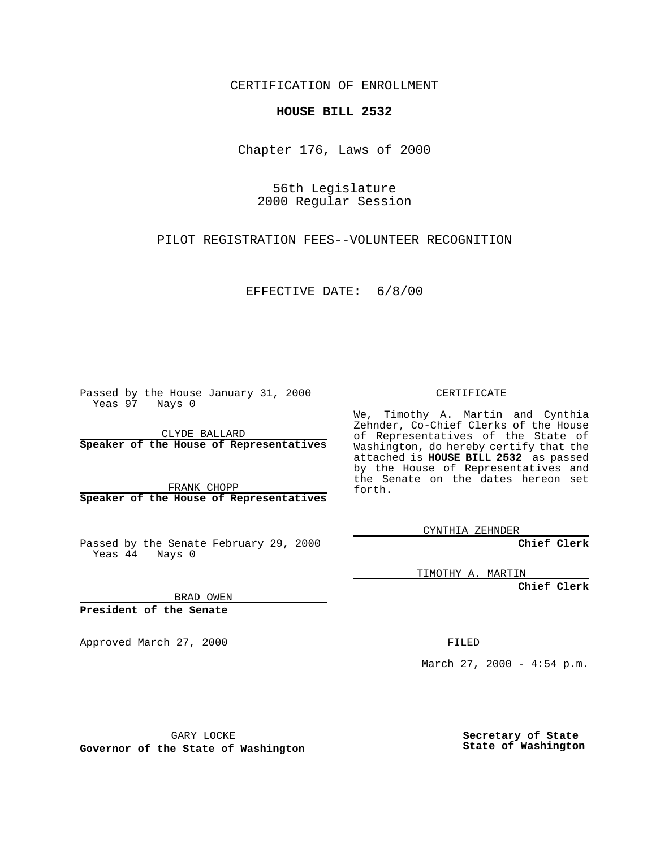CERTIFICATION OF ENROLLMENT

## **HOUSE BILL 2532**

Chapter 176, Laws of 2000

56th Legislature 2000 Regular Session

PILOT REGISTRATION FEES--VOLUNTEER RECOGNITION

EFFECTIVE DATE: 6/8/00

Passed by the House January 31, 2000 Yeas 97 Nays 0

CLYDE BALLARD **Speaker of the House of Representatives**

FRANK CHOPP **Speaker of the House of Representatives**

Passed by the Senate February 29, 2000 Yeas 44 Nays 0

CERTIFICATE

We, Timothy A. Martin and Cynthia Zehnder, Co-Chief Clerks of the House of Representatives of the State of Washington, do hereby certify that the attached is **HOUSE BILL 2532** as passed by the House of Representatives and the Senate on the dates hereon set forth.

CYNTHIA ZEHNDER

**Chief Clerk**

TIMOTHY A. MARTIN

**Chief Clerk**

BRAD OWEN

**President of the Senate**

Approved March 27, 2000 FILED

March 27, 2000 - 4:54 p.m.

GARY LOCKE

**Governor of the State of Washington**

**Secretary of State State of Washington**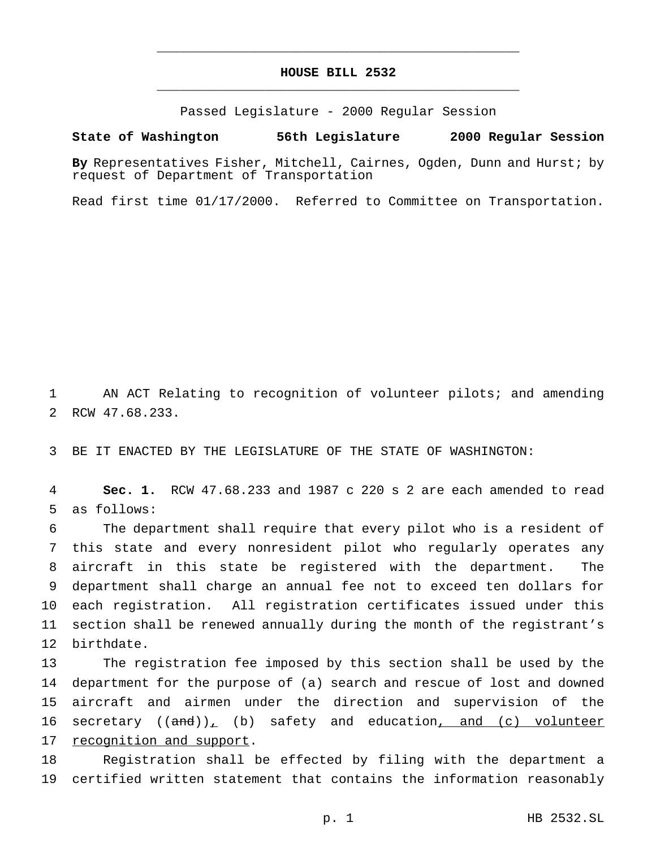## **HOUSE BILL 2532** \_\_\_\_\_\_\_\_\_\_\_\_\_\_\_\_\_\_\_\_\_\_\_\_\_\_\_\_\_\_\_\_\_\_\_\_\_\_\_\_\_\_\_\_\_\_\_

\_\_\_\_\_\_\_\_\_\_\_\_\_\_\_\_\_\_\_\_\_\_\_\_\_\_\_\_\_\_\_\_\_\_\_\_\_\_\_\_\_\_\_\_\_\_\_

Passed Legislature - 2000 Regular Session

## **State of Washington 56th Legislature 2000 Regular Session**

**By** Representatives Fisher, Mitchell, Cairnes, Ogden, Dunn and Hurst; by request of Department of Transportation

Read first time 01/17/2000. Referred to Committee on Transportation.

 AN ACT Relating to recognition of volunteer pilots; and amending RCW 47.68.233.

BE IT ENACTED BY THE LEGISLATURE OF THE STATE OF WASHINGTON:

 **Sec. 1.** RCW 47.68.233 and 1987 c 220 s 2 are each amended to read as follows:

 The department shall require that every pilot who is a resident of this state and every nonresident pilot who regularly operates any aircraft in this state be registered with the department. The department shall charge an annual fee not to exceed ten dollars for each registration. All registration certificates issued under this section shall be renewed annually during the month of the registrant's birthdate.

 The registration fee imposed by this section shall be used by the department for the purpose of (a) search and rescue of lost and downed aircraft and airmen under the direction and supervision of the 16 secretary  $((and))_+$  (b) safety and education, and (c) volunteer recognition and support.

 Registration shall be effected by filing with the department a certified written statement that contains the information reasonably